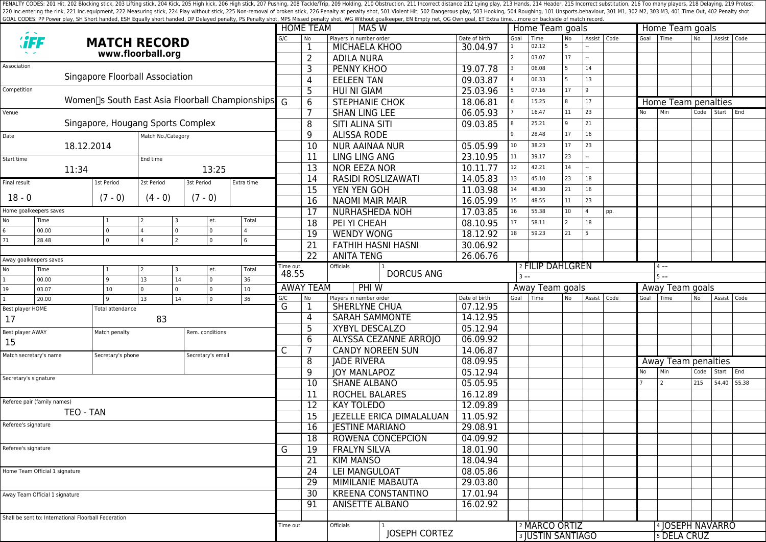PENALTY CODES: 201 Hit, 202 Blocking stick, 203 Lifting stick, 203 Kick, 205 High kick, 205 High kick, 205 High stick, 206 High stick, 207 Pushing, 208 Tackle/Trip, 209 Holding, 210 Obstruction, 211 Incorrect distance 212 220 Inc.entering the rink, 221 Inc.equipment, 222 Measuring stick, 224 Play without stick, 225 Non-removal of broken stick, 225 Poralty shot, 501 Violent Hit, 502 Dangerous play, 503 Hooking, 504 Roughing, 101 Unsports.beh GOAL CODES: PP Power play, SH Short handed, ESH Equally short handed, DP Delayed penalty, PS Penalty shot, MPS Missed penalty shot, WG Without goalkeeper, EN Empty net, OG Own goal, ET Extra time....more on backside of mat

|                                |                                                      |                                    |                                                                            |                            |            |                         | <b>HOME TEAM</b>          | MAS W                                 |                  |                 | Home Team goals          |                 |                |               |                 | Home Team goals     |           |             |       |  |
|--------------------------------|------------------------------------------------------|------------------------------------|----------------------------------------------------------------------------|----------------------------|------------|-------------------------|---------------------------|---------------------------------------|------------------|-----------------|--------------------------|-----------------|----------------|---------------|-----------------|---------------------|-----------|-------------|-------|--|
|                                |                                                      |                                    | <b>MATCH RECORD</b>                                                        |                            |            | G/C                     | No                        | Players in number order               | Date of birth    | Goal            | Time<br>02.12            | <b>No</b><br>-5 |                | Assist   Code | Goal            | I Time              | <b>No</b> | Assist Code |       |  |
| www.floorball.org              |                                                      |                                    |                                                                            |                            |            |                         | MICHAELA KHOO             | 30.04.97                              |                  | 03.07           | 17                       |                 |                |               |                 |                     |           |             |       |  |
| Association                    |                                                      |                                    |                                                                            |                            |            |                         | $\overline{2}$            | <b>ADILA NURA</b>                     |                  |                 |                          | -5              | 14             |               |                 |                     |           |             |       |  |
|                                |                                                      |                                    | Singapore Floorball Association                                            |                            |            |                         | 3                         | <b>PENNY KHOO</b>                     | 19.07.78         |                 | 06.08                    |                 |                |               |                 |                     |           |             |       |  |
| Competition                    |                                                      |                                    |                                                                            |                            |            |                         | $\overline{4}$            | <b>EELEEN TAN</b>                     | 09.03.87         |                 | 06.33                    | 5               | 13             |               |                 |                     |           |             |       |  |
|                                |                                                      |                                    | Women <sub>[3</sub> South East Asia Floorball Championships] $\frac{1}{6}$ |                            |            |                         | 5                         | <b>HUI NI GIAM</b>                    | 25.03.96         |                 | 07.16                    | 17              | 9              |               |                 |                     |           |             |       |  |
|                                |                                                      |                                    |                                                                            |                            |            |                         | 6                         | <b>STEPHANIE CHOK</b>                 | 18.06.81         |                 | 15.25                    | 8               | 17             |               |                 | Home Team penalties |           |             |       |  |
| Venue                          |                                                      |                                    |                                                                            |                            |            |                         | 7                         | <b>SHAN LING LEE</b>                  | 06.05.93         |                 | 16.47                    | 11              | 23             |               | No              | Min                 | Code      | Start End   |       |  |
|                                |                                                      |                                    | Singapore, Hougang Sports Complex                                          |                            |            |                         | 8                         | <b>SITI ALINA SITI</b>                | 09.03.85         |                 | 25.21                    | 9               | 21             |               |                 |                     |           |             |       |  |
| Match No./Category<br>Date     |                                                      |                                    |                                                                            |                            |            |                         | 9                         | <b>ALISSA RODE</b>                    |                  |                 | 28.48                    | 17              | 16             |               |                 |                     |           |             |       |  |
|                                | 18.12.2014                                           |                                    |                                                                            |                            |            |                         | 10                        | <b>NUR AAINAA NUR</b>                 | 05.05.99         | 10 <sup>°</sup> | 38.23                    | 17              | 23             |               |                 |                     |           |             |       |  |
| Start time                     |                                                      |                                    | End time                                                                   |                            |            |                         | 11                        | <b>LING LING ANG</b>                  | 23.10.95         | 11              | 39.17                    | 23              |                |               |                 |                     |           |             |       |  |
| 11:34<br>13:25                 |                                                      |                                    |                                                                            |                            |            | 13                      | <b>NOR EEZA NOR</b>       | 10.11.77                              | 12               | 42.21           | 14                       |                 |                |               |                 |                     |           |             |       |  |
| Final result                   |                                                      | 1st Period                         | 2st Period                                                                 | 3st Period                 | Extra time |                         | 14                        | 14.05.83<br><b>RASIDI ROSLIZAWATI</b> |                  | 13              | 45.10                    | 23              | 18             |               |                 |                     |           |             |       |  |
|                                |                                                      |                                    |                                                                            |                            |            |                         | 15                        | YEN YEN GOH                           | 11.03.98         | 14              | 48.30                    | 21              | 16             |               |                 |                     |           |             |       |  |
| $18 - 0$                       |                                                      | $(7 - 0)$                          | $(4 - 0)$                                                                  | $(7 - 0)$                  |            |                         | 16                        | <b>NAOMI MAIR MAIR</b>                | 16.05.99         | 15              | 48.55                    | 11              | 23             |               |                 |                     |           |             |       |  |
|                                | Home goalkeepers saves                               |                                    |                                                                            |                            |            |                         | 17                        | <b>NURHASHEDA NOH</b>                 | 17.03.85         | 16              | 55.38                    | 10              | $\overline{a}$ | pp.           |                 |                     |           |             |       |  |
| No                             | Time                                                 |                                    |                                                                            | et.                        | Total      |                         | 18                        | PEI YI CHEAH                          | 08.10.95         | 17              | 58.11                    | $\overline{2}$  | 18             |               |                 |                     |           |             |       |  |
| 6<br>71                        | 00.00<br>28.48                                       | $\mathbf{0}$<br>$\mathbf{0}$       | l 4<br>$\mathbf 0$<br>$\overline{2}$<br>$\overline{4}$                     | $\mathsf 0$<br>$\mathbf 0$ | 6          |                         | 19                        | <b>WENDY WONG</b>                     | 18.12.92         | 18              | 59.23                    | 21              |                |               |                 |                     |           |             |       |  |
|                                |                                                      |                                    |                                                                            |                            |            |                         | 21                        | <b>FATHIH HASNI HASNI</b>             | 30.06.92         |                 |                          |                 |                |               |                 |                     |           |             |       |  |
| Away goalkeepers saves         |                                                      |                                    |                                                                            |                            |            |                         | 22                        | <b>ANITA TENG</b>                     | 26.06.76         |                 |                          |                 |                |               |                 |                     |           |             |       |  |
| No                             | Time                                                 |                                    | l 2                                                                        | et.                        | Total      | Time out                |                           | <b>Officials</b>                      | 2 FILIP DAHLGREN |                 |                          |                 |                |               | $4 - -$         |                     |           |             |       |  |
|                                | 00.00                                                | 9                                  | 13<br>14                                                                   | $\mathsf 0$                | 36         | 48.55                   |                           | <b>DORCUS ANG</b>                     |                  | $3 - -$         |                          |                 |                |               | $5 - -$         |                     |           |             |       |  |
| 19                             | 03.07                                                | 10                                 | l o<br>$\Omega$                                                            | $\mathsf 0$                | 10         |                         | <b>AWAY TEAM</b>          | PHI W                                 |                  | Away Team goals |                          |                 |                |               | Away Team goals |                     |           |             |       |  |
|                                | 20.00                                                | q<br>13<br>14<br>$\mathbf 0$<br>36 |                                                                            | G/C                        | No         | Players in number order | Date of birth             | Goal                                  | Time             | No              | Assist Code              |                 | Goal           | Time          | <b>No</b>       | Assist   Code       |           |             |       |  |
| Best player HOME               |                                                      | <b>Total attendance</b>            |                                                                            |                            |            | G                       |                           | <b>SHERLYNE CHUA</b>                  | 07.12.95         |                 |                          |                 |                |               |                 |                     |           |             |       |  |
| 17                             |                                                      |                                    | 83                                                                         |                            |            |                         | $\overline{4}$            | <b>SARAH SAMMONTE</b>                 | 14.12.95         |                 |                          |                 |                |               |                 |                     |           |             |       |  |
| Best player AWAY               |                                                      | Match penalty                      |                                                                            | Rem. conditions            |            |                         | 5                         | XYBYL DESCALZO                        | 05.12.94         |                 |                          |                 |                |               |                 |                     |           |             |       |  |
| 15                             |                                                      |                                    |                                                                            |                            |            | C                       | 6                         | <b>ALYSSA CEZANNE ARROJO</b>          | 06.09.92         |                 |                          |                 |                |               |                 |                     |           |             |       |  |
|                                | Match secretary's name<br>Secretary's phone          |                                    |                                                                            | Secretary's email          |            |                         | $\overline{7}$            | <b>CANDY NOREEN SUN</b>               | 14.06.87         |                 |                          |                 |                |               |                 |                     |           |             |       |  |
|                                |                                                      |                                    |                                                                            |                            |            |                         | 8                         | <b>JADE RIVERA</b>                    | 08.09.95         |                 |                          |                 |                |               |                 | Away Team penalties |           |             |       |  |
|                                | Secretary's signature                                |                                    |                                                                            |                            |            | 9                       | <b>IOY MANLAPOZ</b>       | 05.12.94                              |                  |                 |                          |                 |                | No            | l Min           | Code                | Start     | End         |       |  |
|                                |                                                      |                                    |                                                                            |                            |            |                         | 10                        | <b>SHANE ALBANO</b>                   | 05.05.95         |                 |                          |                 |                |               |                 | l 2                 | 215       | 54.40       | 55.38 |  |
|                                | Referee pair (family names)                          |                                    |                                                                            |                            |            |                         | 11                        | <b>ROCHEL BALARES</b>                 | 16.12.89         |                 |                          |                 |                |               |                 |                     |           |             |       |  |
|                                | TEO - TAN                                            |                                    |                                                                            |                            |            |                         | 12                        | <b>KAY TOLEDO</b>                     | 12.09.89         |                 |                          |                 |                |               |                 |                     |           |             |       |  |
|                                |                                                      |                                    |                                                                            |                            |            |                         | 15                        | <b>JEZELLE ERICA DIMALALUAN</b>       | 11.05.92         |                 |                          |                 |                |               |                 |                     |           |             |       |  |
| Referee's signature            |                                                      |                                    |                                                                            |                            |            |                         | 16                        | <b>JESTINE MARIANO</b>                | 29.08.91         |                 |                          |                 |                |               |                 |                     |           |             |       |  |
|                                |                                                      |                                    |                                                                            |                            |            |                         | 18                        | ROWENA CONCEPCION                     | 04.09.92         |                 |                          |                 |                |               |                 |                     |           |             |       |  |
| Referee's signature            |                                                      |                                    |                                                                            |                            |            |                         | 19                        | <b>FRALYN SILVA</b>                   | 18.01.90         |                 |                          |                 |                |               |                 |                     |           |             |       |  |
|                                |                                                      |                                    |                                                                            |                            |            |                         | 21                        | <b>KIM MANSO</b>                      | 18.04.94         |                 |                          |                 |                |               |                 |                     |           |             |       |  |
|                                | Home Team Official 1 signature                       |                                    |                                                                            |                            |            |                         | 24                        | LEI MANGULOAT                         | 08.05.86         |                 |                          |                 |                |               |                 |                     |           |             |       |  |
|                                |                                                      |                                    |                                                                            |                            |            |                         | 29                        | <b>MIMILANIE MABAUTA</b>              | 29.03.80         |                 |                          |                 |                |               |                 |                     |           |             |       |  |
| Away Team Official 1 signature |                                                      |                                    |                                                                            |                            |            | 30                      | <b>KREENA CONSTANTINO</b> | 17.01.94                              |                  |                 |                          |                 |                |               |                 |                     |           |             |       |  |
|                                |                                                      |                                    |                                                                            |                            |            |                         | 91                        | ANISETTE ALBANO                       | 16.02.92         |                 |                          |                 |                |               |                 |                     |           |             |       |  |
|                                | Shall be sent to: International Floorball Federation |                                    |                                                                            |                            |            |                         |                           |                                       |                  |                 |                          |                 |                |               |                 |                     |           |             |       |  |
|                                |                                                      |                                    |                                                                            |                            |            | Time out                |                           | Officials                             |                  |                 | 2 MARCO ORTIZ            |                 |                |               |                 | 4 JOSEPH NAVARRO    |           |             |       |  |
|                                |                                                      |                                    |                                                                            |                            |            |                         |                           | <b>IOSEPH CORTEZ</b>                  |                  |                 | <b>3 JUSTIN SANTIAGO</b> |                 |                |               |                 | <b>5 DELA CRUZ</b>  |           |             |       |  |